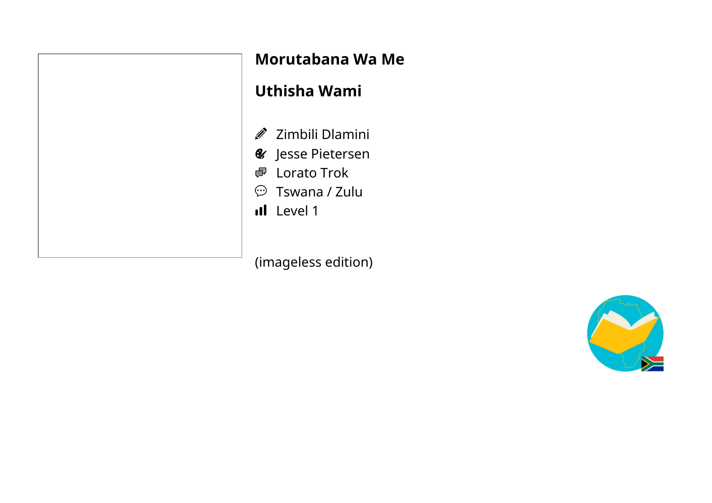#### **Morutabana Wa Me**

## **Uthisha Wami**

- Zimbili Dlamini
- Jesse Pietersen
- <sup>7</sup> Lorato Trok
- Tswana / Zulu
- I Level 1

(imageless edition)

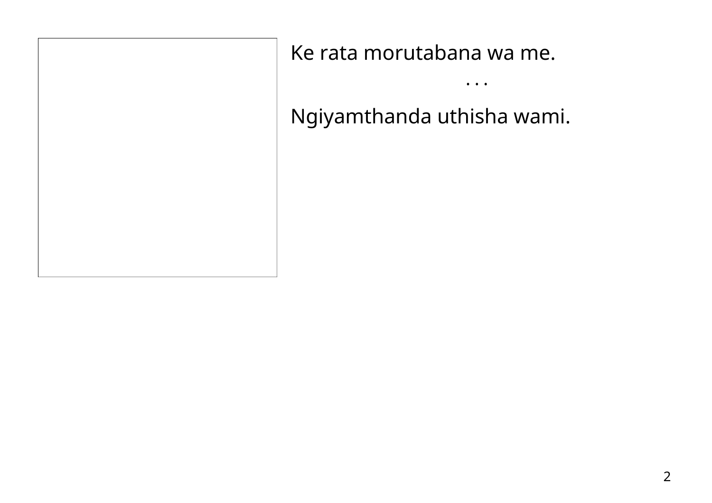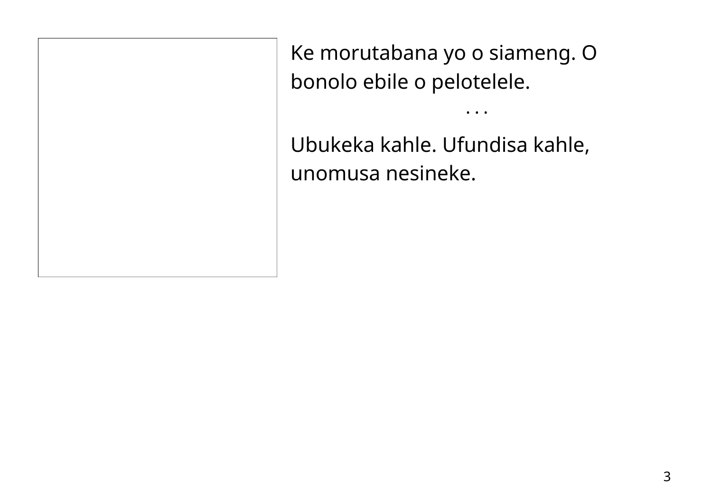Ke morutabana yo o siameng. O bonolo ebile o pelotelele.

• • •

Ubukeka kahle. Ufundisa kahle, unomusa nesineke.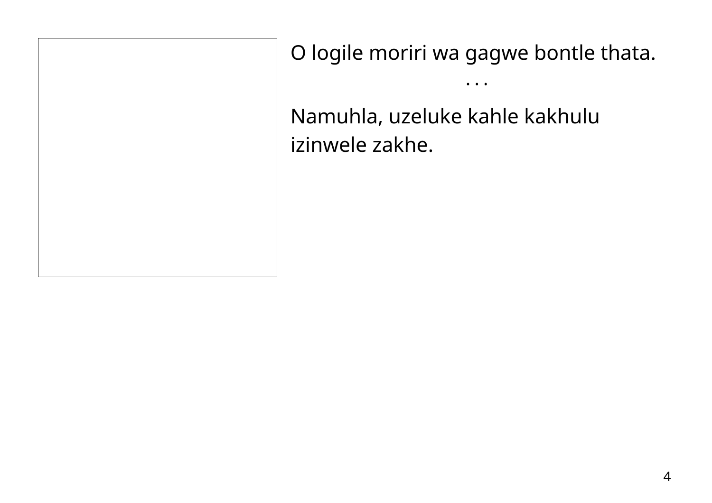O logile moriri wa gagwe bontle thata.

• • •

Namuhla, uzeluke kahle kakhulu izinwele zakhe.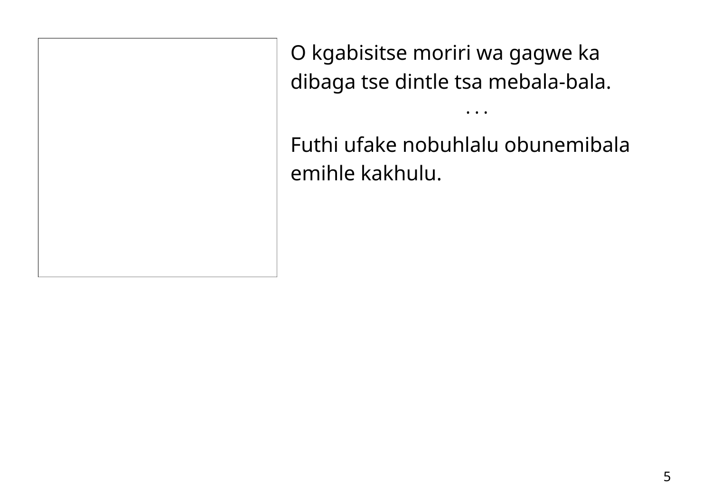O kgabisitse moriri wa gagwe ka dibaga tse dintle tsa mebala-bala.

Futhi ufake nobuhlalu obunemibala emihle kakhulu.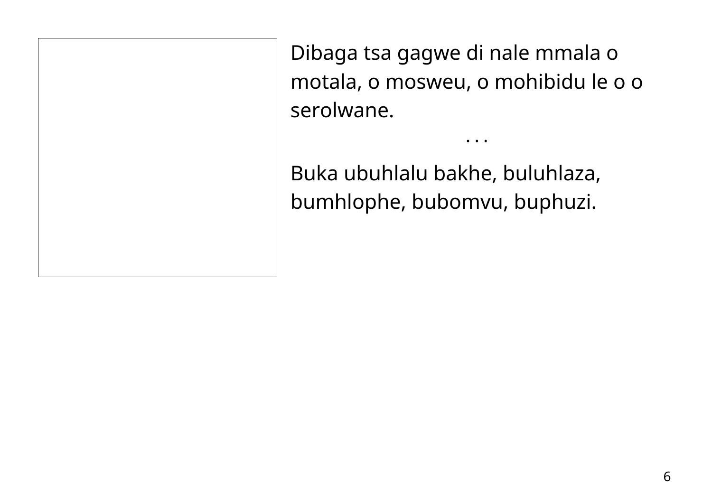Dibaga tsa gagwe di nale mmala o motala, o mosweu, o mohibidu le o o serolwane.

• • •

Buka ubuhlalu bakhe, buluhlaza, bumhlophe, bubomvu, buphuzi.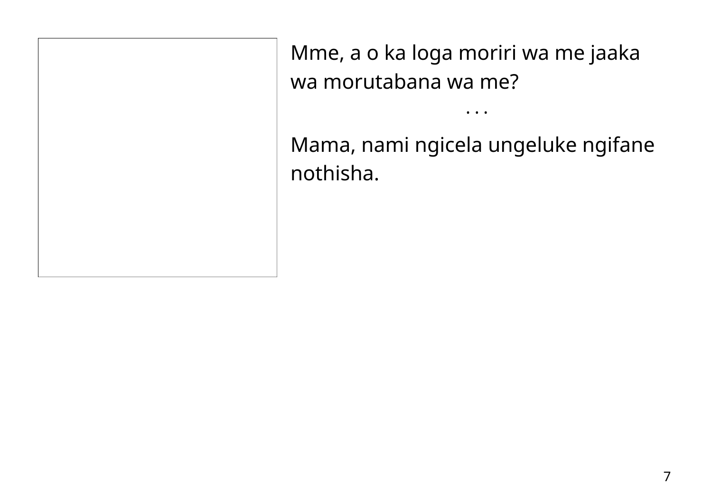Mme, a o ka loga moriri wa me jaaka wa morutabana wa me?

Mama, nami ngicela ungeluke ngifane nothisha.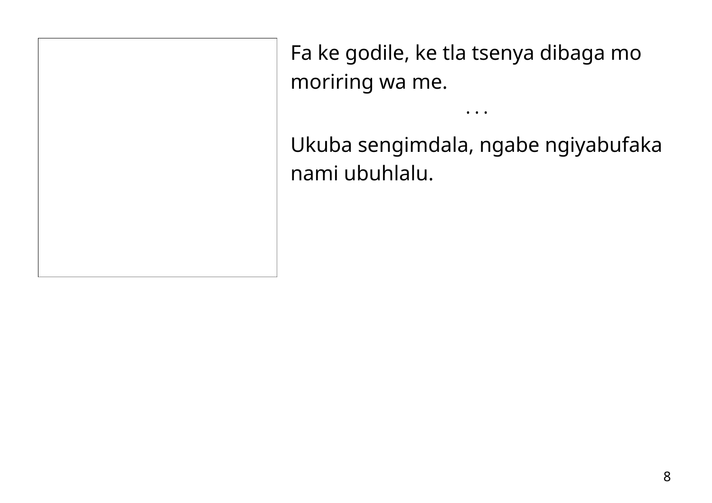Fa ke godile, ke tla tsenya dibaga mo moriring wa me.

Ukuba sengimdala, ngabe ngiyabufaka nami ubuhlalu.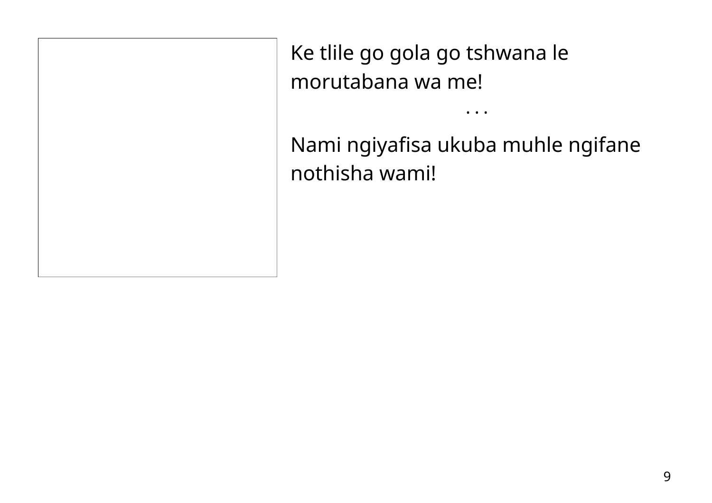Ke tlile go gola go tshwana le morutabana wa me!

Nami ngiyafisa ukuba muhle ngifane nothisha wami!